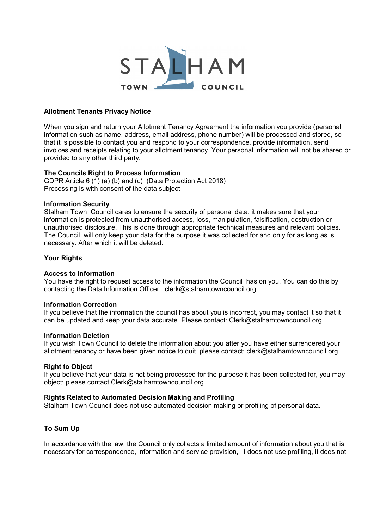

#### Allotment Tenants Privacy Notice

When you sign and return your Allotment Tenancy Agreement the information you provide (personal information such as name, address, email address, phone number) will be processed and stored, so that it is possible to contact you and respond to your correspondence, provide information, send invoices and receipts relating to your allotment tenancy. Your personal information will not be shared or provided to any other third party.

## The Councils Right to Process Information

GDPR Article 6 (1) (a) (b) and (c) (Data Protection Act 2018) Processing is with consent of the data subject

#### Information Security

Stalham Town Council cares to ensure the security of personal data. it makes sure that your information is protected from unauthorised access, loss, manipulation, falsification, destruction or unauthorised disclosure. This is done through appropriate technical measures and relevant policies. The Council will only keep your data for the purpose it was collected for and only for as long as is necessary. After which it will be deleted.

## Your Rights

#### Access to Information

You have the right to request access to the information the Council has on you. You can do this by contacting the Data Information Officer: clerk@stalhamtowncouncil.org.

#### Information Correction

If you believe that the information the council has about you is incorrect, you may contact it so that it can be updated and keep your data accurate. Please contact: Clerk@stalhamtowncouncil.org.

#### Information Deletion

If you wish Town Council to delete the information about you after you have either surrendered your allotment tenancy or have been given notice to quit, please contact: clerk@stalhamtowncouncil.org.

#### Right to Object

If you believe that your data is not being processed for the purpose it has been collected for, you may object: please contact Clerk@stalhamtowncouncil.org

#### Rights Related to Automated Decision Making and Profiling

Stalham Town Council does not use automated decision making or profiling of personal data.

# To Sum Up

In accordance with the law, the Council only collects a limited amount of information about you that is necessary for correspondence, information and service provision, it does not use profiling, it does not